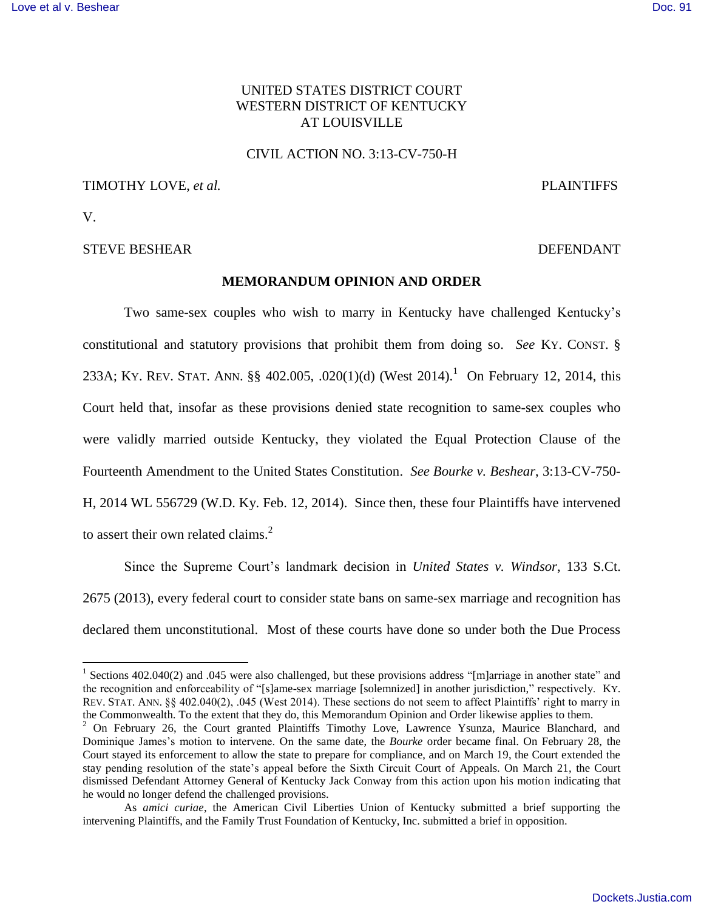# UNITED STATES DISTRICT COURT WESTERN DISTRICT OF KENTUCKY AT LOUISVILLE

## CIVIL ACTION NO. 3:13-CV-750-H

# TIMOTHY LOVE, *et al.* **PLAINTIFFS**

V.

## STEVE BESHEAR DEFENDANT

## **MEMORANDUM OPINION AND ORDER**

Two same-sex couples who wish to marry in Kentucky have challenged Kentucky's constitutional and statutory provisions that prohibit them from doing so. *See* KY. CONST. § 233A; KY. REV. STAT. ANN. §§ 402.005, .020(1)(d) (West 2014).<sup>1</sup> On February 12, 2014, this Court held that, insofar as these provisions denied state recognition to same-sex couples who were validly married outside Kentucky, they violated the Equal Protection Clause of the Fourteenth Amendment to the United States Constitution. *See Bourke v. Beshear*, 3:13-CV-750- H, 2014 WL 556729 (W.D. Ky. Feb. 12, 2014). Since then, these four Plaintiffs have intervened to assert their own related claims. $2$ 

Since the Supreme Court's landmark decision in *United States v. Windsor*, 133 S.Ct. 2675 (2013), every federal court to consider state bans on same-sex marriage and recognition has declared them unconstitutional. Most of these courts have done so under both the Due Process

<sup>&</sup>lt;sup>1</sup> Sections 402.040(2) and .045 were also challenged, but these provisions address "[m]arriage in another state" and the recognition and enforceability of "[s]ame-sex marriage [solemnized] in another jurisdiction," respectively. KY. REV. STAT. ANN. §§ 402.040(2), .045 (West 2014). These sections do not seem to affect Plaintiffs' right to marry in the Commonwealth. To the extent that they do, this Memorandum Opinion and Order likewise applies to them.

<sup>&</sup>lt;sup>2</sup> On February 26, the Court granted Plaintiffs Timothy Love, Lawrence Ysunza, Maurice Blanchard, and Dominique James's motion to intervene. On the same date, the *Bourke* order became final. On February 28, the Court stayed its enforcement to allow the state to prepare for compliance, and on March 19, the Court extended the stay pending resolution of the state's appeal before the Sixth Circuit Court of Appeals. On March 21, the Court dismissed Defendant Attorney General of Kentucky Jack Conway from this action upon his motion indicating that he would no longer defend the challenged provisions.

As *amici curiae*, the American Civil Liberties Union of Kentucky submitted a brief supporting the intervening Plaintiffs, and the Family Trust Foundation of Kentucky, Inc. submitted a brief in opposition.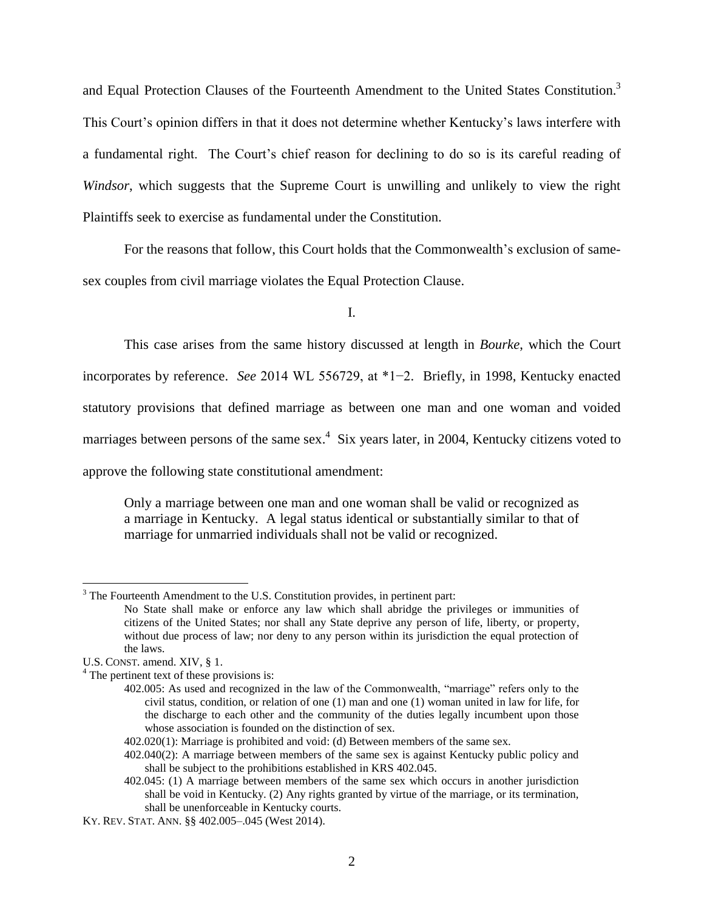and Equal Protection Clauses of the Fourteenth Amendment to the United States Constitution.<sup>3</sup> This Court's opinion differs in that it does not determine whether Kentucky's laws interfere with a fundamental right. The Court's chief reason for declining to do so is its careful reading of *Windsor*, which suggests that the Supreme Court is unwilling and unlikely to view the right Plaintiffs seek to exercise as fundamental under the Constitution.

For the reasons that follow, this Court holds that the Commonwealth's exclusion of samesex couples from civil marriage violates the Equal Protection Clause.

I.

This case arises from the same history discussed at length in *Bourke*, which the Court incorporates by reference. *See* 2014 WL 556729, at \*1−2. Briefly, in 1998, Kentucky enacted statutory provisions that defined marriage as between one man and one woman and voided marriages between persons of the same sex.<sup>4</sup> Six years later, in 2004, Kentucky citizens voted to approve the following state constitutional amendment:

Only a marriage between one man and one woman shall be valid or recognized as a marriage in Kentucky. A legal status identical or substantially similar to that of marriage for unmarried individuals shall not be valid or recognized.

 $\overline{a}$ 

 $3$  The Fourteenth Amendment to the U.S. Constitution provides, in pertinent part:

No State shall make or enforce any law which shall abridge the privileges or immunities of citizens of the United States; nor shall any State deprive any person of life, liberty, or property, without due process of law; nor deny to any person within its jurisdiction the equal protection of the laws.

U.S. CONST. amend. XIV, § 1.

<sup>&</sup>lt;sup>4</sup> The pertinent text of these provisions is:

<sup>402.005:</sup> As used and recognized in the law of the Commonwealth, "marriage" refers only to the civil status, condition, or relation of one (1) man and one (1) woman united in law for life, for the discharge to each other and the community of the duties legally incumbent upon those whose association is founded on the distinction of sex.

<sup>402.020(1):</sup> Marriage is prohibited and void: (d) Between members of the same sex.

<sup>402.040(2):</sup> A marriage between members of the same sex is against Kentucky public policy and shall be subject to the prohibitions established in KRS 402.045.

<sup>402.045:</sup> (1) A marriage between members of the same sex which occurs in another jurisdiction shall be void in Kentucky. (2) Any rights granted by virtue of the marriage, or its termination, shall be unenforceable in Kentucky courts.

KY. REV. STAT. ANN. §§ 402.005–.045 (West 2014).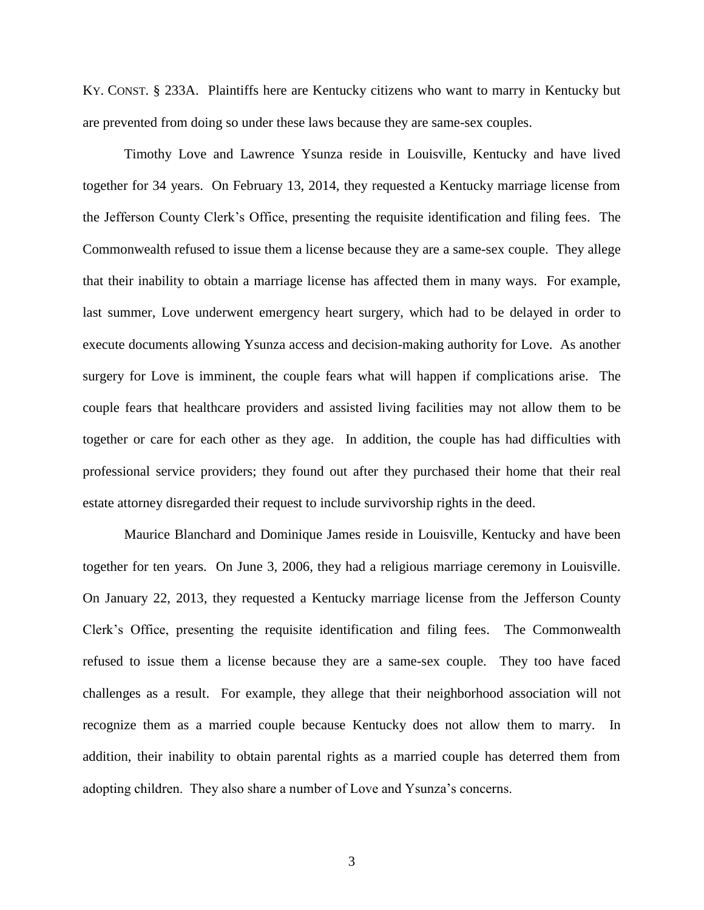KY. CONST. § 233A. Plaintiffs here are Kentucky citizens who want to marry in Kentucky but are prevented from doing so under these laws because they are same-sex couples.

Timothy Love and Lawrence Ysunza reside in Louisville, Kentucky and have lived together for 34 years. On February 13, 2014, they requested a Kentucky marriage license from the Jefferson County Clerk's Office, presenting the requisite identification and filing fees. The Commonwealth refused to issue them a license because they are a same-sex couple. They allege that their inability to obtain a marriage license has affected them in many ways. For example, last summer, Love underwent emergency heart surgery, which had to be delayed in order to execute documents allowing Ysunza access and decision-making authority for Love. As another surgery for Love is imminent, the couple fears what will happen if complications arise. The couple fears that healthcare providers and assisted living facilities may not allow them to be together or care for each other as they age. In addition, the couple has had difficulties with professional service providers; they found out after they purchased their home that their real estate attorney disregarded their request to include survivorship rights in the deed.

Maurice Blanchard and Dominique James reside in Louisville, Kentucky and have been together for ten years. On June 3, 2006, they had a religious marriage ceremony in Louisville. On January 22, 2013, they requested a Kentucky marriage license from the Jefferson County Clerk's Office, presenting the requisite identification and filing fees. The Commonwealth refused to issue them a license because they are a same-sex couple. They too have faced challenges as a result. For example, they allege that their neighborhood association will not recognize them as a married couple because Kentucky does not allow them to marry. In addition, their inability to obtain parental rights as a married couple has deterred them from adopting children. They also share a number of Love and Ysunza's concerns.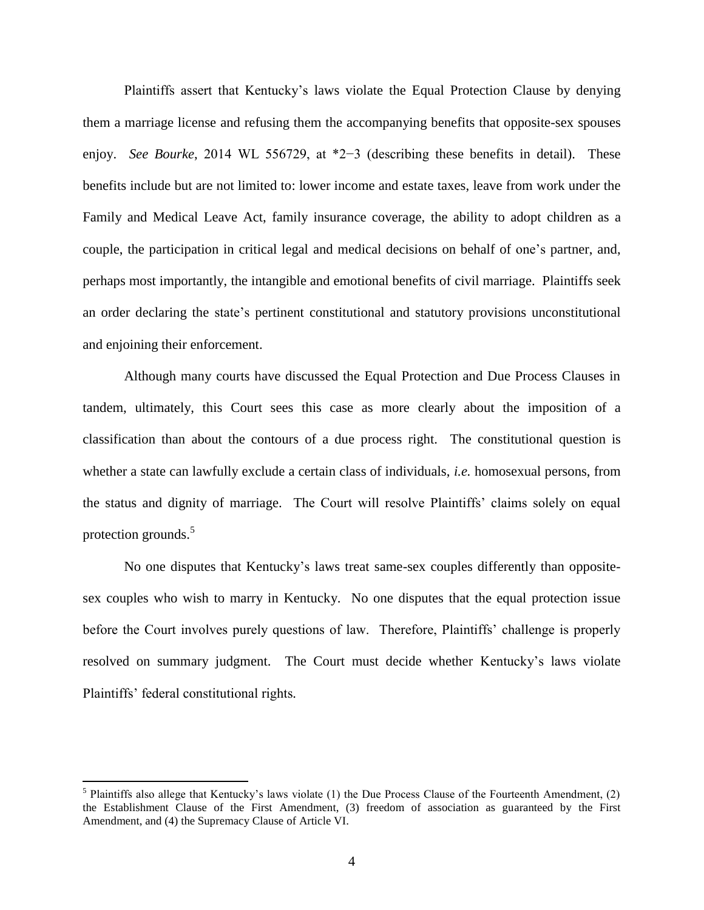Plaintiffs assert that Kentucky's laws violate the Equal Protection Clause by denying them a marriage license and refusing them the accompanying benefits that opposite-sex spouses enjoy. *See Bourke*, 2014 WL 556729, at \*2−3 (describing these benefits in detail). These benefits include but are not limited to: lower income and estate taxes, leave from work under the Family and Medical Leave Act, family insurance coverage, the ability to adopt children as a couple, the participation in critical legal and medical decisions on behalf of one's partner, and, perhaps most importantly, the intangible and emotional benefits of civil marriage. Plaintiffs seek an order declaring the state's pertinent constitutional and statutory provisions unconstitutional and enjoining their enforcement.

Although many courts have discussed the Equal Protection and Due Process Clauses in tandem, ultimately, this Court sees this case as more clearly about the imposition of a classification than about the contours of a due process right. The constitutional question is whether a state can lawfully exclude a certain class of individuals, *i.e.* homosexual persons, from the status and dignity of marriage. The Court will resolve Plaintiffs' claims solely on equal protection grounds.<sup>5</sup>

No one disputes that Kentucky's laws treat same-sex couples differently than oppositesex couples who wish to marry in Kentucky. No one disputes that the equal protection issue before the Court involves purely questions of law. Therefore, Plaintiffs' challenge is properly resolved on summary judgment. The Court must decide whether Kentucky's laws violate Plaintiffs' federal constitutional rights*.*

<sup>&</sup>lt;sup>5</sup> Plaintiffs also allege that Kentucky's laws violate (1) the Due Process Clause of the Fourteenth Amendment, (2) the Establishment Clause of the First Amendment, (3) freedom of association as guaranteed by the First Amendment, and (4) the Supremacy Clause of Article VI.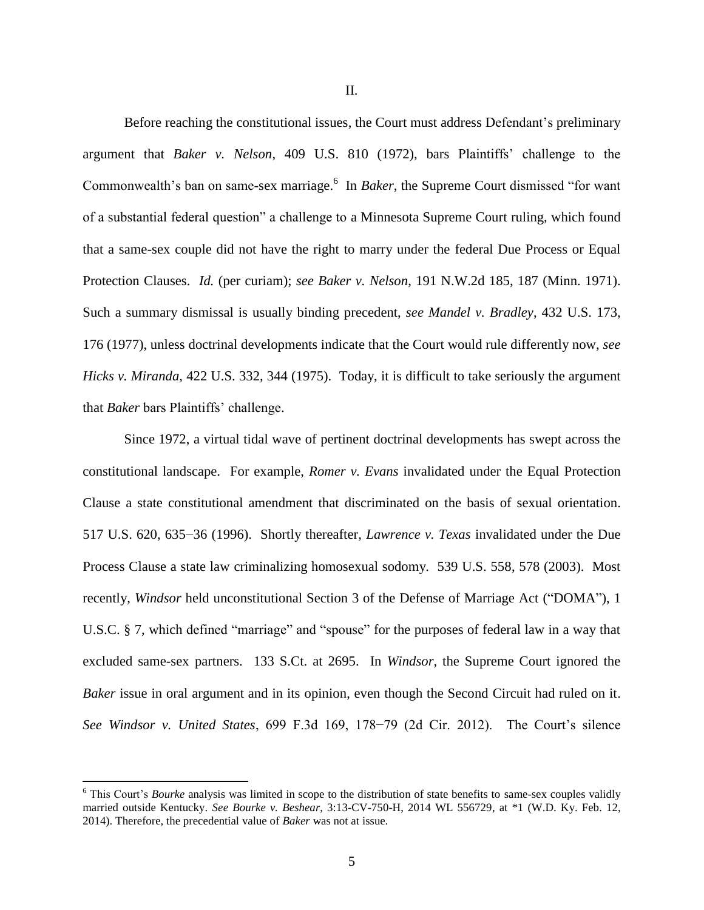II.

Before reaching the constitutional issues, the Court must address Defendant's preliminary argument that *Baker v. Nelson*, 409 U.S. 810 (1972), bars Plaintiffs' challenge to the Commonwealth's ban on same-sex marriage.<sup>6</sup> In *Baker*, the Supreme Court dismissed "for want of a substantial federal question" a challenge to a Minnesota Supreme Court ruling, which found that a same-sex couple did not have the right to marry under the federal Due Process or Equal Protection Clauses. *Id.* (per curiam); *see Baker v. Nelson*, 191 N.W.2d 185, 187 (Minn. 1971). Such a summary dismissal is usually binding precedent, *see Mandel v. Bradley*, 432 U.S. 173, 176 (1977), unless doctrinal developments indicate that the Court would rule differently now, *see Hicks v. Miranda*, 422 U.S. 332, 344 (1975). Today, it is difficult to take seriously the argument that *Baker* bars Plaintiffs' challenge.

Since 1972, a virtual tidal wave of pertinent doctrinal developments has swept across the constitutional landscape. For example, *Romer v. Evans* invalidated under the Equal Protection Clause a state constitutional amendment that discriminated on the basis of sexual orientation. 517 U.S. 620, 635−36 (1996). Shortly thereafter, *Lawrence v. Texas* invalidated under the Due Process Clause a state law criminalizing homosexual sodomy. 539 U.S. 558, 578 (2003). Most recently, *Windsor* held unconstitutional Section 3 of the Defense of Marriage Act ("DOMA"), 1 U.S.C. § 7, which defined "marriage" and "spouse" for the purposes of federal law in a way that excluded same-sex partners. 133 S.Ct. at 2695. In *Windsor*, the Supreme Court ignored the *Baker* issue in oral argument and in its opinion, even though the Second Circuit had ruled on it. *See Windsor v. United States*, 699 F.3d 169, 178−79 (2d Cir. 2012). The Court's silence

<sup>&</sup>lt;sup>6</sup> This Court's *Bourke* analysis was limited in scope to the distribution of state benefits to same-sex couples validly married outside Kentucky. *See Bourke v. Beshear*, 3:13-CV-750-H, 2014 WL 556729, at \*1 (W.D. Ky. Feb. 12, 2014). Therefore, the precedential value of *Baker* was not at issue.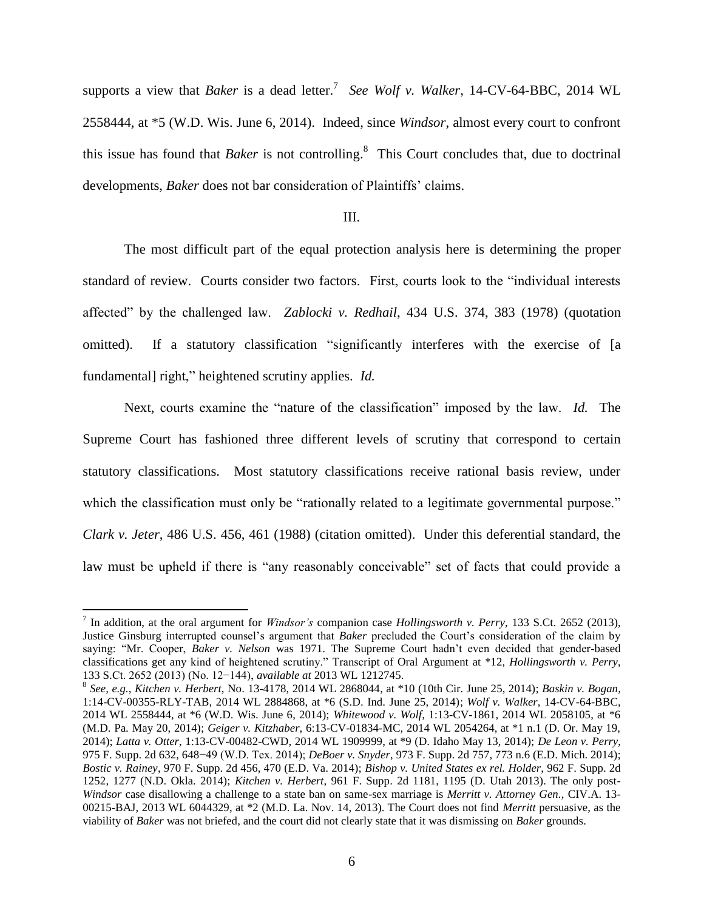supports a view that *Baker* is a dead letter.<sup>7</sup> See Wolf v. Walker, 14-CV-64-BBC, 2014 WL 2558444, at \*5 (W.D. Wis. June 6, 2014). Indeed, since *Windsor*, almost every court to confront this issue has found that *Baker* is not controlling. 8 This Court concludes that, due to doctrinal developments, *Baker* does not bar consideration of Plaintiffs' claims.

# III.

The most difficult part of the equal protection analysis here is determining the proper standard of review. Courts consider two factors. First, courts look to the "individual interests affected" by the challenged law. *Zablocki v. Redhail*, 434 U.S. 374, 383 (1978) (quotation omitted). If a statutory classification "significantly interferes with the exercise of [a fundamental] right," heightened scrutiny applies. *Id.*

Next, courts examine the "nature of the classification" imposed by the law. *Id.* The Supreme Court has fashioned three different levels of scrutiny that correspond to certain statutory classifications. Most statutory classifications receive rational basis review, under which the classification must only be "rationally related to a legitimate governmental purpose." *Clark v. Jeter*, 486 U.S. 456, 461 (1988) (citation omitted). Under this deferential standard, the law must be upheld if there is "any reasonably conceivable" set of facts that could provide a

<sup>7</sup> In addition, at the oral argument for *Windsor's* companion case *Hollingsworth v. Perry*, 133 S.Ct. 2652 (2013), Justice Ginsburg interrupted counsel's argument that *Baker* precluded the Court's consideration of the claim by saying: "Mr. Cooper, *Baker v. Nelson* was 1971. The Supreme Court hadn't even decided that gender-based classifications get any kind of heightened scrutiny." Transcript of Oral Argument at \*12, *Hollingsworth v. Perry*, 133 S.Ct. 2652 (2013) (No. 12−144), *available at* 2013 WL 1212745.

<sup>8</sup> *See, e.g.*, *Kitchen v. Herbert*, No. 13-4178, 2014 WL 2868044, at \*10 (10th Cir. June 25, 2014); *Baskin v. Bogan*, 1:14-CV-00355-RLY-TAB, 2014 WL 2884868, at \*6 (S.D. Ind. June 25, 2014); *Wolf v. Walker*, 14-CV-64-BBC, 2014 WL 2558444, at \*6 (W.D. Wis. June 6, 2014); *Whitewood v. Wolf*, 1:13-CV-1861, 2014 WL 2058105, at \*6 (M.D. Pa. May 20, 2014); *Geiger v. Kitzhaber*, 6:13-CV-01834-MC, 2014 WL 2054264, at \*1 n.1 (D. Or. May 19, 2014); *Latta v. Otter*, 1:13-CV-00482-CWD, 2014 WL 1909999, at \*9 (D. Idaho May 13, 2014); *De Leon v. Perry*, 975 F. Supp. 2d 632, 648−49 (W.D. Tex. 2014); *DeBoer v. Snyder*, 973 F. Supp. 2d 757, 773 n.6 (E.D. Mich. 2014); *Bostic v. Rainey*, 970 F. Supp. 2d 456, 470 (E.D. Va. 2014); *Bishop v. United States ex rel. Holder*, 962 F. Supp. 2d 1252, 1277 (N.D. Okla. 2014); *Kitchen v. Herbert*, 961 F. Supp. 2d 1181, 1195 (D. Utah 2013). The only post-*Windsor* case disallowing a challenge to a state ban on same-sex marriage is *Merritt v. Attorney Gen.*, CIV.A. 13- 00215-BAJ, 2013 WL 6044329, at \*2 (M.D. La. Nov. 14, 2013). The Court does not find *Merritt* persuasive, as the viability of *Baker* was not briefed, and the court did not clearly state that it was dismissing on *Baker* grounds.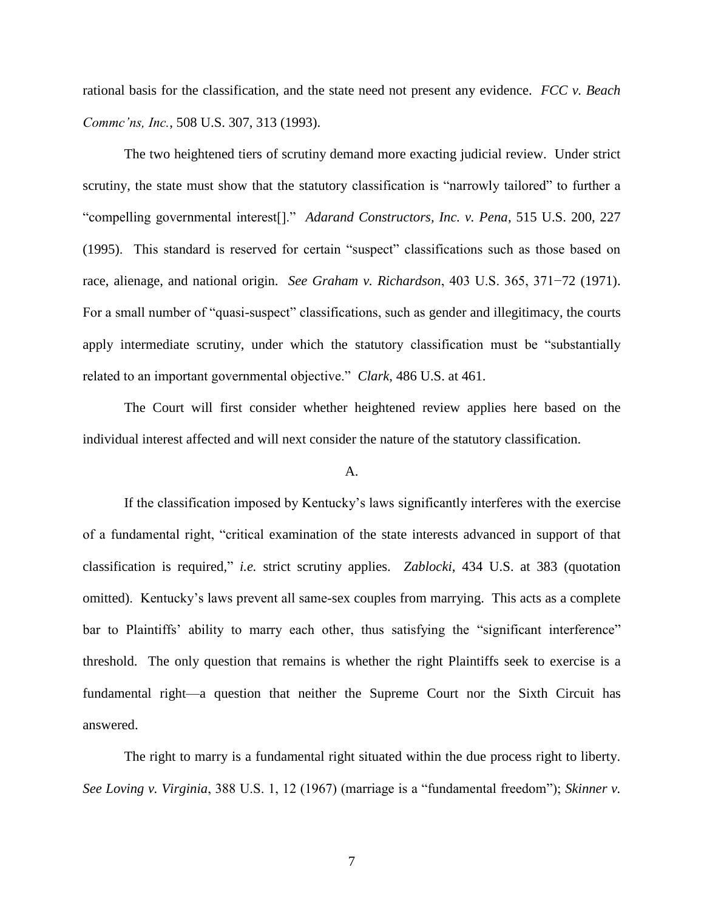rational basis for the classification, and the state need not present any evidence. *FCC v. Beach Commc'ns, Inc.*, 508 U.S. 307, 313 (1993).

The two heightened tiers of scrutiny demand more exacting judicial review. Under strict scrutiny, the state must show that the statutory classification is "narrowly tailored" to further a "compelling governmental interest[]." *Adarand Constructors, Inc. v. Pena*, 515 U.S. 200, 227 (1995). This standard is reserved for certain "suspect" classifications such as those based on race, alienage, and national origin. *See Graham v. Richardson*, 403 U.S. 365, 371−72 (1971). For a small number of "quasi-suspect" classifications, such as gender and illegitimacy, the courts apply intermediate scrutiny, under which the statutory classification must be "substantially related to an important governmental objective." *Clark*, 486 U.S. at 461.

The Court will first consider whether heightened review applies here based on the individual interest affected and will next consider the nature of the statutory classification.

## A.

If the classification imposed by Kentucky's laws significantly interferes with the exercise of a fundamental right, "critical examination of the state interests advanced in support of that classification is required," *i.e.* strict scrutiny applies. *Zablocki*, 434 U.S. at 383 (quotation omitted). Kentucky's laws prevent all same-sex couples from marrying. This acts as a complete bar to Plaintiffs' ability to marry each other, thus satisfying the "significant interference" threshold. The only question that remains is whether the right Plaintiffs seek to exercise is a fundamental right—a question that neither the Supreme Court nor the Sixth Circuit has answered.

The right to marry is a fundamental right situated within the due process right to liberty. *See Loving v. Virginia*, 388 U.S. 1, 12 (1967) (marriage is a "fundamental freedom"); *Skinner v.*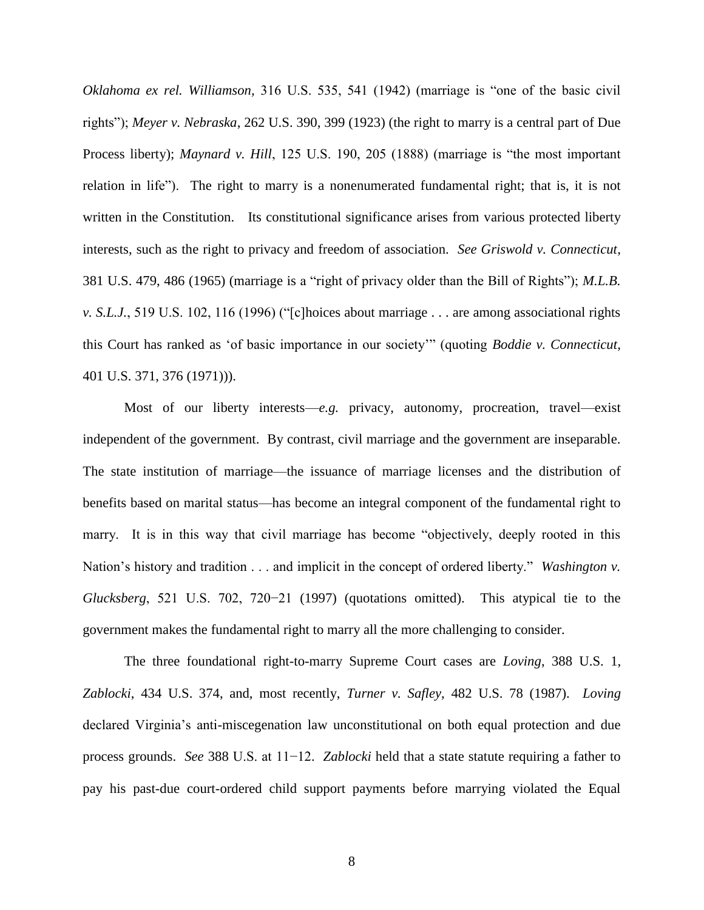*Oklahoma ex rel. Williamson,* 316 U.S. 535, 541 (1942) (marriage is "one of the basic civil rights"); *Meyer v. Nebraska*, 262 U.S. 390, 399 (1923) (the right to marry is a central part of Due Process liberty); *Maynard v. Hill*, 125 U.S. 190, 205 (1888) (marriage is "the most important relation in life"). The right to marry is a nonenumerated fundamental right; that is, it is not written in the Constitution. Its constitutional significance arises from various protected liberty interests, such as the right to privacy and freedom of association. *See Griswold v. Connecticut*, 381 U.S. 479, 486 (1965) (marriage is a "right of privacy older than the Bill of Rights"); *M.L.B. v. S.L.J.*, 519 U.S. 102, 116 (1996) ("[c]hoices about marriage . . . are among associational rights this Court has ranked as 'of basic importance in our society'" (quoting *Boddie v. Connecticut*, 401 U.S. 371, 376 (1971))).

Most of our liberty interests—*e.g.* privacy, autonomy, procreation, travel—exist independent of the government. By contrast, civil marriage and the government are inseparable. The state institution of marriage—the issuance of marriage licenses and the distribution of benefits based on marital status—has become an integral component of the fundamental right to marry. It is in this way that civil marriage has become "objectively, deeply rooted in this Nation's history and tradition . . . and implicit in the concept of ordered liberty." *Washington v. Glucksberg*, 521 U.S. 702, 720−21 (1997) (quotations omitted). This atypical tie to the government makes the fundamental right to marry all the more challenging to consider.

The three foundational right-to-marry Supreme Court cases are *Loving*, 388 U.S. 1, *Zablocki*, 434 U.S. 374, and, most recently, *Turner v. Safley*, 482 U.S. 78 (1987). *Loving* declared Virginia's anti-miscegenation law unconstitutional on both equal protection and due process grounds. *See* 388 U.S. at 11−12. *Zablocki* held that a state statute requiring a father to pay his past-due court-ordered child support payments before marrying violated the Equal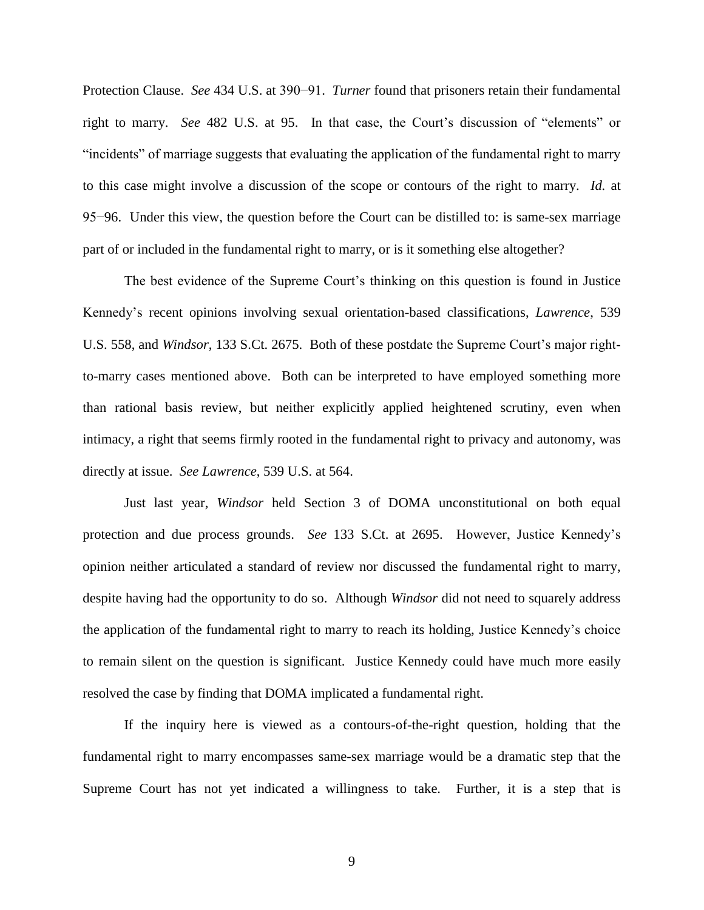Protection Clause. *See* 434 U.S. at 390−91. *Turner* found that prisoners retain their fundamental right to marry. *See* 482 U.S. at 95. In that case, the Court's discussion of "elements" or "incidents" of marriage suggests that evaluating the application of the fundamental right to marry to this case might involve a discussion of the scope or contours of the right to marry. *Id.* at 95−96. Under this view, the question before the Court can be distilled to: is same-sex marriage part of or included in the fundamental right to marry, or is it something else altogether?

The best evidence of the Supreme Court's thinking on this question is found in Justice Kennedy's recent opinions involving sexual orientation-based classifications, *Lawrence*, 539 U.S. 558, and *Windsor*, 133 S.Ct. 2675. Both of these postdate the Supreme Court's major rightto-marry cases mentioned above. Both can be interpreted to have employed something more than rational basis review, but neither explicitly applied heightened scrutiny, even when intimacy, a right that seems firmly rooted in the fundamental right to privacy and autonomy, was directly at issue. *See Lawrence*, 539 U.S. at 564.

Just last year, *Windsor* held Section 3 of DOMA unconstitutional on both equal protection and due process grounds. *See* 133 S.Ct. at 2695. However, Justice Kennedy's opinion neither articulated a standard of review nor discussed the fundamental right to marry, despite having had the opportunity to do so. Although *Windsor* did not need to squarely address the application of the fundamental right to marry to reach its holding, Justice Kennedy's choice to remain silent on the question is significant. Justice Kennedy could have much more easily resolved the case by finding that DOMA implicated a fundamental right.

If the inquiry here is viewed as a contours-of-the-right question, holding that the fundamental right to marry encompasses same-sex marriage would be a dramatic step that the Supreme Court has not yet indicated a willingness to take. Further, it is a step that is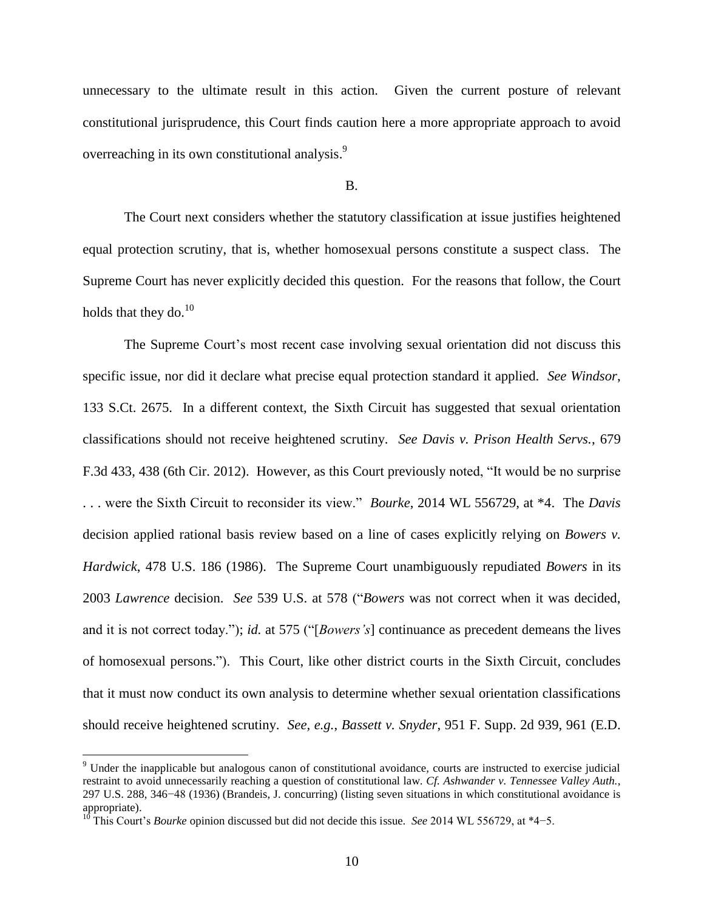unnecessary to the ultimate result in this action. Given the current posture of relevant constitutional jurisprudence, this Court finds caution here a more appropriate approach to avoid overreaching in its own constitutional analysis.<sup>9</sup>

### B.

The Court next considers whether the statutory classification at issue justifies heightened equal protection scrutiny, that is, whether homosexual persons constitute a suspect class. The Supreme Court has never explicitly decided this question. For the reasons that follow, the Court holds that they do. $^{10}$ 

The Supreme Court's most recent case involving sexual orientation did not discuss this specific issue, nor did it declare what precise equal protection standard it applied. *See Windsor*, 133 S.Ct. 2675. In a different context, the Sixth Circuit has suggested that sexual orientation classifications should not receive heightened scrutiny. *See Davis v. Prison Health Servs.*, 679 F.3d 433, 438 (6th Cir. 2012). However, as this Court previously noted, "It would be no surprise . . . were the Sixth Circuit to reconsider its view." *Bourke*, 2014 WL 556729, at \*4. The *Davis* decision applied rational basis review based on a line of cases explicitly relying on *Bowers v. Hardwick*, 478 U.S. 186 (1986). The Supreme Court unambiguously repudiated *Bowers* in its 2003 *Lawrence* decision. *See* 539 U.S. at 578 ("*Bowers* was not correct when it was decided, and it is not correct today."); *id.* at 575 ("[*Bowers's*] continuance as precedent demeans the lives of homosexual persons."). This Court, like other district courts in the Sixth Circuit, concludes that it must now conduct its own analysis to determine whether sexual orientation classifications should receive heightened scrutiny. *See, e.g.*, *Bassett v. Snyder*, 951 F. Supp. 2d 939, 961 (E.D.

 $\overline{a}$ 

 $9$  Under the inapplicable but analogous canon of constitutional avoidance, courts are instructed to exercise judicial restraint to avoid unnecessarily reaching a question of constitutional law. *Cf. Ashwander v. Tennessee Valley Auth.*, 297 U.S. 288, 346−48 (1936) (Brandeis, J. concurring) (listing seven situations in which constitutional avoidance is appropriate).

<sup>10</sup> This Court's *Bourke* opinion discussed but did not decide this issue. *See* 2014 WL 556729, at \*4−5.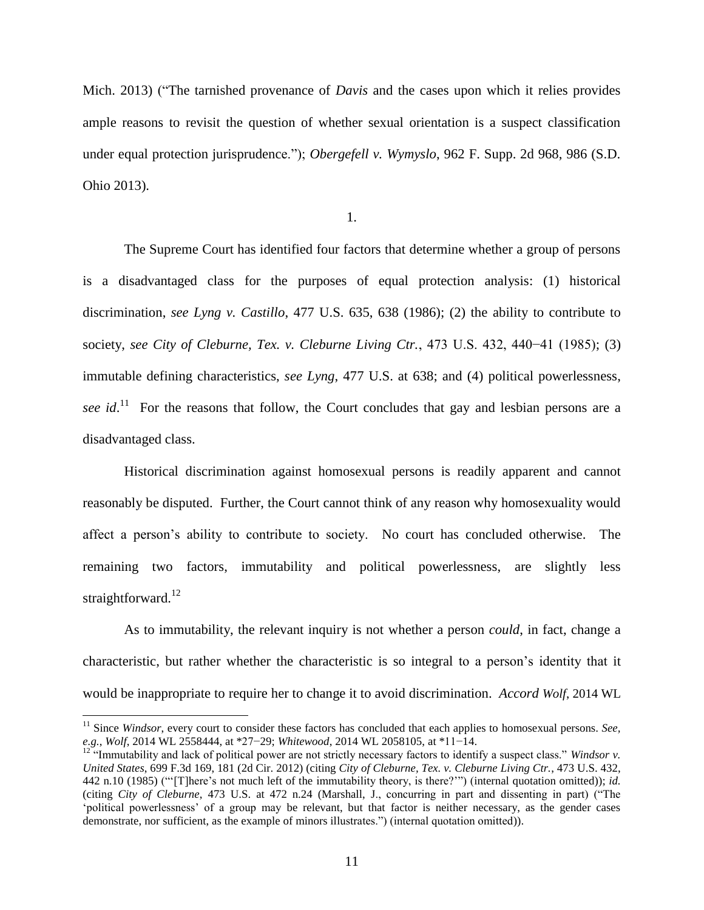Mich. 2013) ("The tarnished provenance of *Davis* and the cases upon which it relies provides ample reasons to revisit the question of whether sexual orientation is a suspect classification under equal protection jurisprudence."); *Obergefell v. Wymyslo*, 962 F. Supp. 2d 968, 986 (S.D. Ohio 2013).

1.

The Supreme Court has identified four factors that determine whether a group of persons is a disadvantaged class for the purposes of equal protection analysis: (1) historical discrimination, *see Lyng v. Castillo*, 477 U.S. 635, 638 (1986); (2) the ability to contribute to society, *see City of Cleburne, Tex. v. Cleburne Living Ctr.*, 473 U.S. 432, 440−41 (1985); (3) immutable defining characteristics, *see Lyng*, 477 U.S. at 638; and (4) political powerlessness, see id.<sup>11</sup> For the reasons that follow, the Court concludes that gay and lesbian persons are a disadvantaged class.

Historical discrimination against homosexual persons is readily apparent and cannot reasonably be disputed. Further, the Court cannot think of any reason why homosexuality would affect a person's ability to contribute to society. No court has concluded otherwise. The remaining two factors, immutability and political powerlessness, are slightly less straightforward.<sup>12</sup>

As to immutability, the relevant inquiry is not whether a person *could*, in fact, change a characteristic, but rather whether the characteristic is so integral to a person's identity that it would be inappropriate to require her to change it to avoid discrimination. *Accord Wolf*, 2014 WL

 $\overline{a}$ 

<sup>&</sup>lt;sup>11</sup> Since *Windsor*, every court to consider these factors has concluded that each applies to homosexual persons. *See*, *e.g.*, *Wolf*, 2014 WL 2558444, at \*27−29; *Whitewood*, 2014 WL 2058105, at \*11−14.

<sup>&</sup>lt;sup>12</sup> "Immutability and lack of political power are not strictly necessary factors to identify a suspect class." *Windsor v*. *United States*, 699 F.3d 169, 181 (2d Cir. 2012) (citing *City of Cleburne, Tex. v. Cleburne Living Ctr.*, 473 U.S. 432, 442 n.10 (1985) ("'[T]here's not much left of the immutability theory, is there?'") (internal quotation omitted)); *id.* (citing *City of Cleburne*, 473 U.S. at 472 n.24 (Marshall, J., concurring in part and dissenting in part) ("The 'political powerlessness' of a group may be relevant, but that factor is neither necessary, as the gender cases demonstrate, nor sufficient, as the example of minors illustrates.") (internal quotation omitted)).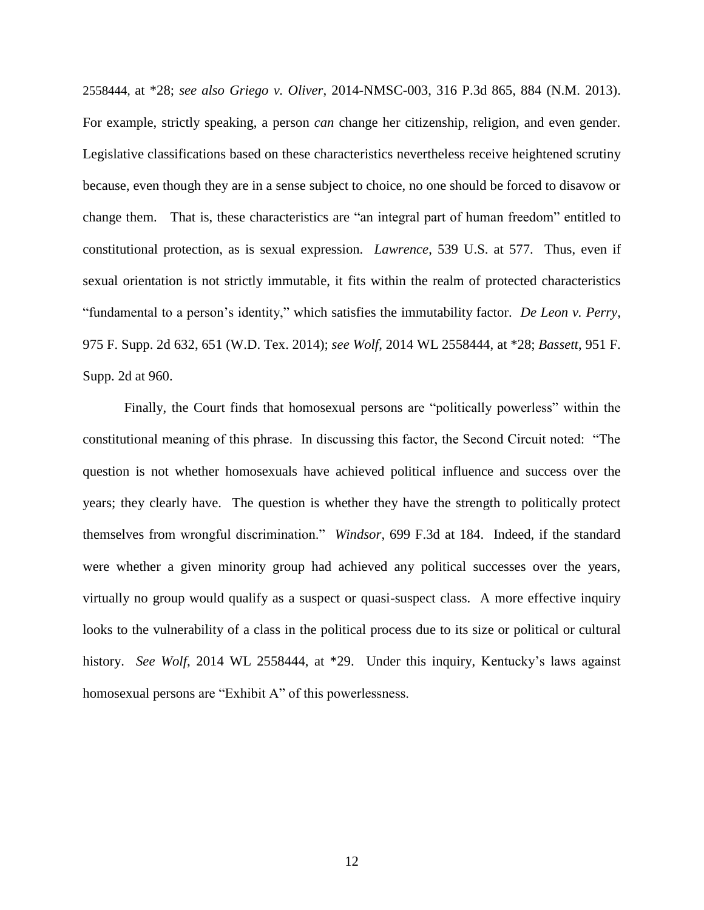2558444, at \*28; *see also Griego v. Oliver*, 2014-NMSC-003, 316 P.3d 865, 884 (N.M. 2013). For example, strictly speaking, a person *can* change her citizenship, religion, and even gender. Legislative classifications based on these characteristics nevertheless receive heightened scrutiny because, even though they are in a sense subject to choice, no one should be forced to disavow or change them. That is, these characteristics are "an integral part of human freedom" entitled to constitutional protection, as is sexual expression. *Lawrence*, 539 U.S. at 577. Thus, even if sexual orientation is not strictly immutable, it fits within the realm of protected characteristics "fundamental to a person's identity," which satisfies the immutability factor. *De Leon v. Perry*, 975 F. Supp. 2d 632, 651 (W.D. Tex. 2014); *see Wolf*, 2014 WL 2558444, at \*28; *Bassett*, 951 F. Supp. 2d at 960.

Finally, the Court finds that homosexual persons are "politically powerless" within the constitutional meaning of this phrase. In discussing this factor, the Second Circuit noted: "The question is not whether homosexuals have achieved political influence and success over the years; they clearly have. The question is whether they have the strength to politically protect themselves from wrongful discrimination." *Windsor*, 699 F.3d at 184. Indeed, if the standard were whether a given minority group had achieved any political successes over the years, virtually no group would qualify as a suspect or quasi-suspect class. A more effective inquiry looks to the vulnerability of a class in the political process due to its size or political or cultural history. *See Wolf*, 2014 WL 2558444, at \*29. Under this inquiry, Kentucky's laws against homosexual persons are "Exhibit A" of this powerlessness.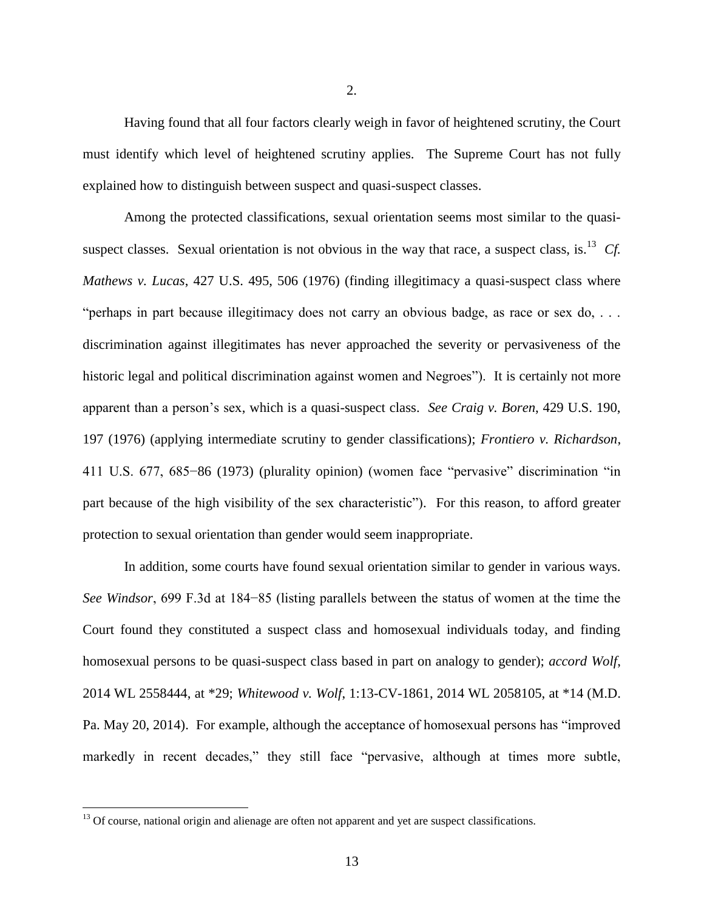Having found that all four factors clearly weigh in favor of heightened scrutiny, the Court must identify which level of heightened scrutiny applies. The Supreme Court has not fully explained how to distinguish between suspect and quasi-suspect classes.

Among the protected classifications, sexual orientation seems most similar to the quasisuspect classes. Sexual orientation is not obvious in the way that race, a suspect class, is.<sup>13</sup> Cf. *Mathews v. Lucas*, 427 U.S. 495, 506 (1976) (finding illegitimacy a quasi-suspect class where "perhaps in part because illegitimacy does not carry an obvious badge, as race or sex do, . . . discrimination against illegitimates has never approached the severity or pervasiveness of the historic legal and political discrimination against women and Negroes"). It is certainly not more apparent than a person's sex, which is a quasi-suspect class. *See Craig v. Boren*, 429 U.S. 190, 197 (1976) (applying intermediate scrutiny to gender classifications); *Frontiero v. Richardson*, 411 U.S. 677, 685−86 (1973) (plurality opinion) (women face "pervasive" discrimination "in part because of the high visibility of the sex characteristic"). For this reason, to afford greater protection to sexual orientation than gender would seem inappropriate.

In addition, some courts have found sexual orientation similar to gender in various ways. *See Windsor*, 699 F.3d at 184−85 (listing parallels between the status of women at the time the Court found they constituted a suspect class and homosexual individuals today, and finding homosexual persons to be quasi-suspect class based in part on analogy to gender); *accord Wolf*, 2014 WL 2558444, at \*29; *Whitewood v. Wolf*, 1:13-CV-1861, 2014 WL 2058105, at \*14 (M.D. Pa. May 20, 2014). For example, although the acceptance of homosexual persons has "improved markedly in recent decades," they still face "pervasive, although at times more subtle,

 $13$  Of course, national origin and alienage are often not apparent and yet are suspect classifications.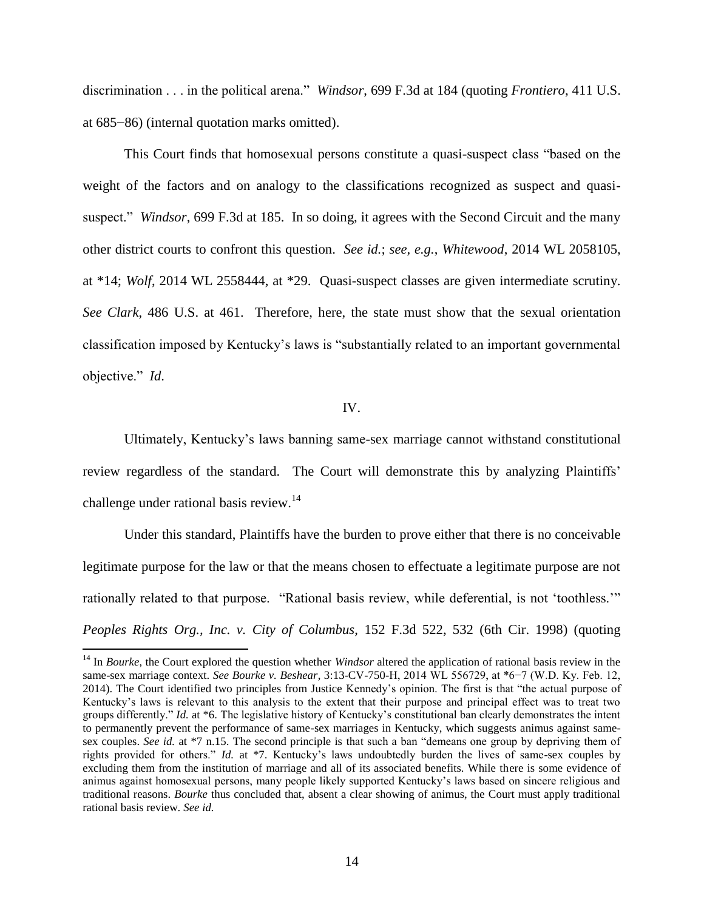discrimination . . . in the political arena." *Windsor*, 699 F.3d at 184 (quoting *Frontiero*, 411 U.S. at 685−86) (internal quotation marks omitted).

This Court finds that homosexual persons constitute a quasi-suspect class "based on the weight of the factors and on analogy to the classifications recognized as suspect and quasisuspect." *Windsor*, 699 F.3d at 185. In so doing, it agrees with the Second Circuit and the many other district courts to confront this question. *See id.*; *see, e.g.*, *Whitewood*, 2014 WL 2058105, at \*14; *Wolf*, 2014 WL 2558444, at \*29. Quasi-suspect classes are given intermediate scrutiny. *See Clark*, 486 U.S. at 461. Therefore, here, the state must show that the sexual orientation classification imposed by Kentucky's laws is "substantially related to an important governmental objective." *Id*.

# IV.

Ultimately, Kentucky's laws banning same-sex marriage cannot withstand constitutional review regardless of the standard. The Court will demonstrate this by analyzing Plaintiffs' challenge under rational basis review.<sup>14</sup>

Under this standard, Plaintiffs have the burden to prove either that there is no conceivable legitimate purpose for the law or that the means chosen to effectuate a legitimate purpose are not rationally related to that purpose. "Rational basis review, while deferential, is not 'toothless.'" *Peoples Rights Org., Inc. v. City of Columbus*, 152 F.3d 522, 532 (6th Cir. 1998) (quoting

<sup>&</sup>lt;sup>14</sup> In *Bourke*, the Court explored the question whether *Windsor* altered the application of rational basis review in the same-sex marriage context. *See Bourke v. Beshear*, 3:13-CV-750-H, 2014 WL 556729, at \*6−7 (W.D. Ky. Feb. 12, 2014). The Court identified two principles from Justice Kennedy's opinion. The first is that "the actual purpose of Kentucky's laws is relevant to this analysis to the extent that their purpose and principal effect was to treat two groups differently." *Id.* at \*6. The legislative history of Kentucky's constitutional ban clearly demonstrates the intent to permanently prevent the performance of same-sex marriages in Kentucky, which suggests animus against samesex couples. *See id.* at \*7 n.15. The second principle is that such a ban "demeans one group by depriving them of rights provided for others." *Id.* at \*7. Kentucky's laws undoubtedly burden the lives of same-sex couples by excluding them from the institution of marriage and all of its associated benefits. While there is some evidence of animus against homosexual persons, many people likely supported Kentucky's laws based on sincere religious and traditional reasons. *Bourke* thus concluded that, absent a clear showing of animus, the Court must apply traditional rational basis review. *See id.*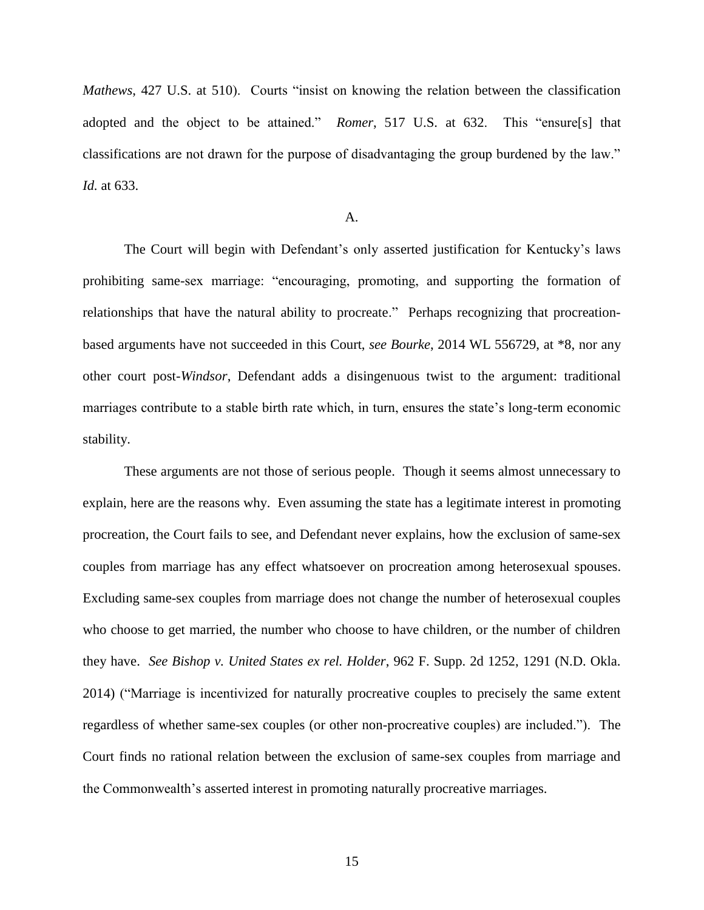*Mathews*, 427 U.S. at 510). Courts "insist on knowing the relation between the classification adopted and the object to be attained." *Romer*, 517 U.S. at 632. This "ensure[s] that classifications are not drawn for the purpose of disadvantaging the group burdened by the law." *Id.* at 633.

#### A.

The Court will begin with Defendant's only asserted justification for Kentucky's laws prohibiting same-sex marriage: "encouraging, promoting, and supporting the formation of relationships that have the natural ability to procreate." Perhaps recognizing that procreationbased arguments have not succeeded in this Court, *see Bourke*, 2014 WL 556729, at \*8, nor any other court post-*Windsor*, Defendant adds a disingenuous twist to the argument: traditional marriages contribute to a stable birth rate which, in turn, ensures the state's long-term economic stability.

These arguments are not those of serious people. Though it seems almost unnecessary to explain, here are the reasons why. Even assuming the state has a legitimate interest in promoting procreation, the Court fails to see, and Defendant never explains, how the exclusion of same-sex couples from marriage has any effect whatsoever on procreation among heterosexual spouses. Excluding same-sex couples from marriage does not change the number of heterosexual couples who choose to get married, the number who choose to have children, or the number of children they have. *See Bishop v. United States ex rel. Holder*, 962 F. Supp. 2d 1252, 1291 (N.D. Okla. 2014) ("Marriage is incentivized for naturally procreative couples to precisely the same extent regardless of whether same-sex couples (or other non-procreative couples) are included."). The Court finds no rational relation between the exclusion of same-sex couples from marriage and the Commonwealth's asserted interest in promoting naturally procreative marriages.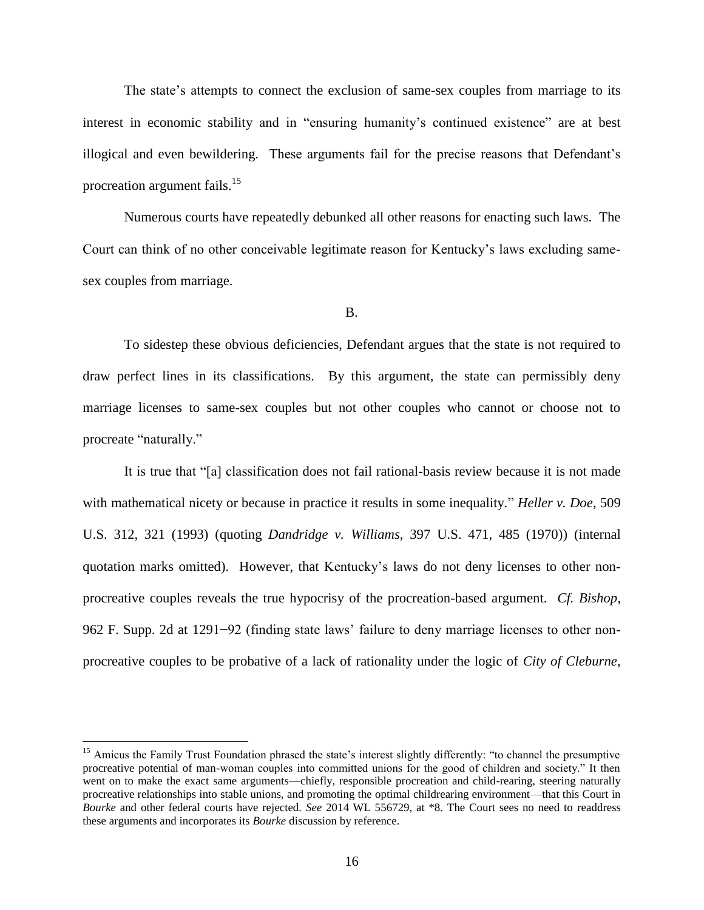The state's attempts to connect the exclusion of same-sex couples from marriage to its interest in economic stability and in "ensuring humanity's continued existence" are at best illogical and even bewildering. These arguments fail for the precise reasons that Defendant's procreation argument fails.<sup>15</sup>

Numerous courts have repeatedly debunked all other reasons for enacting such laws. The Court can think of no other conceivable legitimate reason for Kentucky's laws excluding samesex couples from marriage.

B.

To sidestep these obvious deficiencies, Defendant argues that the state is not required to draw perfect lines in its classifications. By this argument, the state can permissibly deny marriage licenses to same-sex couples but not other couples who cannot or choose not to procreate "naturally."

It is true that "[a] classification does not fail rational-basis review because it is not made with mathematical nicety or because in practice it results in some inequality." *Heller v. Doe*, 509 U.S. 312, 321 (1993) (quoting *Dandridge v. Williams*, 397 U.S. 471, 485 (1970)) (internal quotation marks omitted). However, that Kentucky's laws do not deny licenses to other nonprocreative couples reveals the true hypocrisy of the procreation-based argument. *Cf. Bishop*, 962 F. Supp. 2d at 1291−92 (finding state laws' failure to deny marriage licenses to other nonprocreative couples to be probative of a lack of rationality under the logic of *City of Cleburne*,

l

<sup>&</sup>lt;sup>15</sup> Amicus the Family Trust Foundation phrased the state's interest slightly differently: "to channel the presumptive procreative potential of man-woman couples into committed unions for the good of children and society." It then went on to make the exact same arguments—chiefly, responsible procreation and child-rearing, steering naturally procreative relationships into stable unions, and promoting the optimal childrearing environment—that this Court in *Bourke* and other federal courts have rejected. *See* 2014 WL 556729, at \*8. The Court sees no need to readdress these arguments and incorporates its *Bourke* discussion by reference.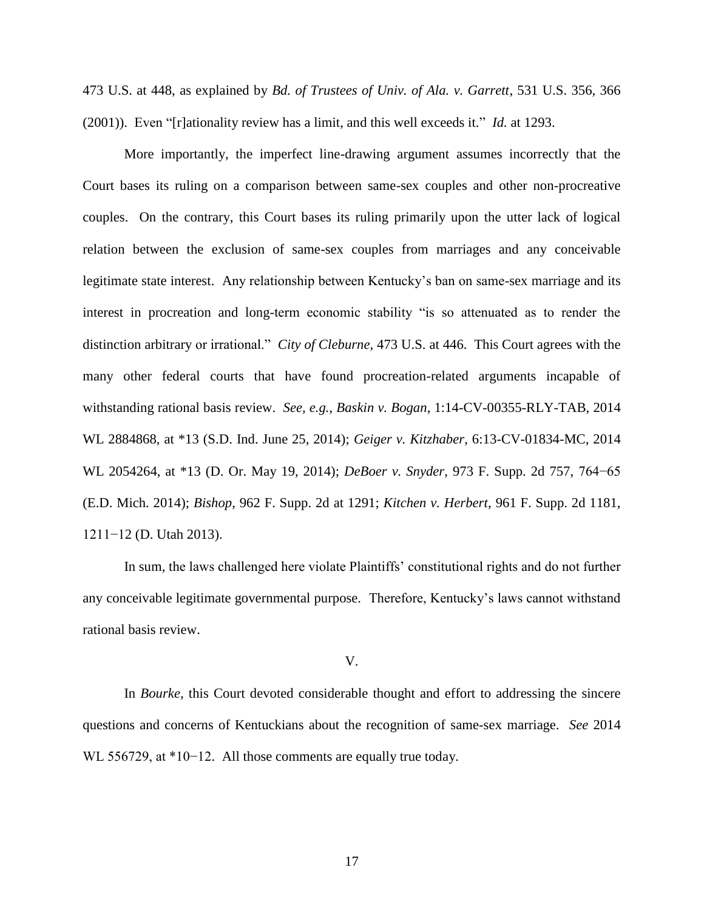473 U.S. at 448, as explained by *Bd. of Trustees of Univ. of Ala. v. Garrett*, 531 U.S. 356, 366 (2001)). Even "[r]ationality review has a limit, and this well exceeds it." *Id.* at 1293.

More importantly, the imperfect line-drawing argument assumes incorrectly that the Court bases its ruling on a comparison between same-sex couples and other non-procreative couples. On the contrary, this Court bases its ruling primarily upon the utter lack of logical relation between the exclusion of same-sex couples from marriages and any conceivable legitimate state interest. Any relationship between Kentucky's ban on same-sex marriage and its interest in procreation and long-term economic stability "is so attenuated as to render the distinction arbitrary or irrational." *City of Cleburne*, 473 U.S. at 446. This Court agrees with the many other federal courts that have found procreation-related arguments incapable of withstanding rational basis review. *See, e.g.*, *Baskin v. Bogan*, 1:14-CV-00355-RLY-TAB, 2014 WL 2884868, at \*13 (S.D. Ind. June 25, 2014); *Geiger v. Kitzhaber*, 6:13-CV-01834-MC, 2014 WL 2054264, at \*13 (D. Or. May 19, 2014); *DeBoer v. Snyder*, 973 F. Supp. 2d 757, 764−65 (E.D. Mich. 2014); *Bishop*, 962 F. Supp. 2d at 1291; *Kitchen v. Herbert*, 961 F. Supp. 2d 1181, 1211−12 (D. Utah 2013).

In sum, the laws challenged here violate Plaintiffs' constitutional rights and do not further any conceivable legitimate governmental purpose. Therefore, Kentucky's laws cannot withstand rational basis review.

### V.

In *Bourke,* this Court devoted considerable thought and effort to addressing the sincere questions and concerns of Kentuckians about the recognition of same-sex marriage. *See* 2014 WL 556729, at \*10−12. All those comments are equally true today.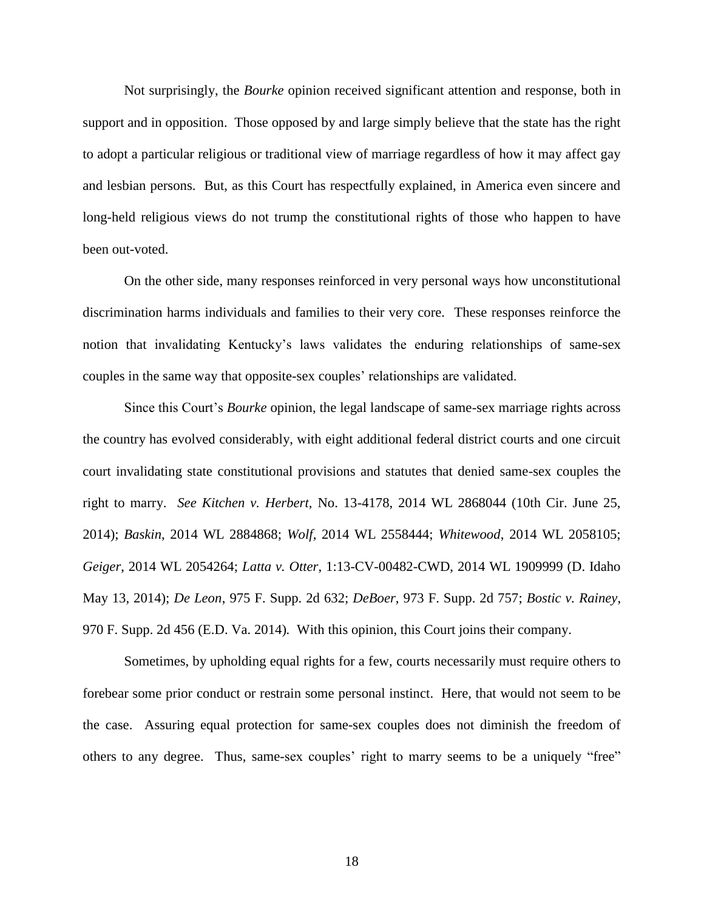Not surprisingly, the *Bourke* opinion received significant attention and response, both in support and in opposition. Those opposed by and large simply believe that the state has the right to adopt a particular religious or traditional view of marriage regardless of how it may affect gay and lesbian persons. But, as this Court has respectfully explained, in America even sincere and long-held religious views do not trump the constitutional rights of those who happen to have been out-voted.

On the other side, many responses reinforced in very personal ways how unconstitutional discrimination harms individuals and families to their very core. These responses reinforce the notion that invalidating Kentucky's laws validates the enduring relationships of same-sex couples in the same way that opposite-sex couples' relationships are validated.

Since this Court's *Bourke* opinion, the legal landscape of same-sex marriage rights across the country has evolved considerably, with eight additional federal district courts and one circuit court invalidating state constitutional provisions and statutes that denied same-sex couples the right to marry. *See Kitchen v. Herbert*, No. 13-4178, 2014 WL 2868044 (10th Cir. June 25, 2014); *Baskin*, 2014 WL 2884868; *Wolf*, 2014 WL 2558444; *Whitewood*, 2014 WL 2058105; *Geiger*, 2014 WL 2054264; *Latta v. Otter*, 1:13-CV-00482-CWD, 2014 WL 1909999 (D. Idaho May 13, 2014); *De Leon*, 975 F. Supp. 2d 632; *DeBoer*, 973 F. Supp. 2d 757; *Bostic v. Rainey*, 970 F. Supp. 2d 456 (E.D. Va. 2014)*.* With this opinion, this Court joins their company.

Sometimes, by upholding equal rights for a few, courts necessarily must require others to forebear some prior conduct or restrain some personal instinct. Here, that would not seem to be the case. Assuring equal protection for same-sex couples does not diminish the freedom of others to any degree. Thus, same-sex couples' right to marry seems to be a uniquely "free"